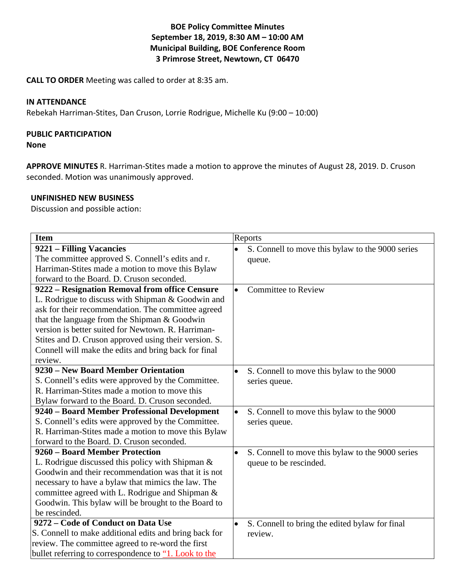## **BOE Policy Committee Minutes September 18, 2019, 8:30 AM – 10:00 AM Municipal Building, BOE Conference Room 3 Primrose Street, Newtown, CT 06470**

**CALL TO ORDER** Meeting was called to order at 8:35 am.

## **IN ATTENDANCE**

Rebekah Harriman-Stites, Dan Cruson, Lorrie Rodrigue, Michelle Ku (9:00 – 10:00)

# **PUBLIC PARTICIPATION**

**None**

**APPROVE MINUTES** R. Harriman-Stites made a motion to approve the minutes of August 28, 2019. D. Cruson seconded. Motion was unanimously approved.

## **UNFINISHED NEW BUSINESS**

Discussion and possible action:

| <b>Item</b>                                            | Reports                                                       |
|--------------------------------------------------------|---------------------------------------------------------------|
| 9221 – Filling Vacancies                               | S. Connell to move this bylaw to the 9000 series              |
| The committee approved S. Connell's edits and r.       | queue.                                                        |
| Harriman-Stites made a motion to move this Bylaw       |                                                               |
| forward to the Board. D. Cruson seconded.              |                                                               |
| 9222 - Resignation Removal from office Censure         | <b>Committee to Review</b><br>$\bullet$                       |
| L. Rodrigue to discuss with Shipman & Goodwin and      |                                                               |
| ask for their recommendation. The committee agreed     |                                                               |
| that the language from the Shipman & Goodwin           |                                                               |
| version is better suited for Newtown. R. Harriman-     |                                                               |
| Stites and D. Cruson approved using their version. S.  |                                                               |
| Connell will make the edits and bring back for final   |                                                               |
| review.                                                |                                                               |
| 9230 – New Board Member Orientation                    | S. Connell to move this bylaw to the 9000                     |
| S. Connell's edits were approved by the Committee.     | series queue.                                                 |
| R. Harriman-Stites made a motion to move this          |                                                               |
| Bylaw forward to the Board. D. Cruson seconded.        |                                                               |
| 9240 - Board Member Professional Development           | S. Connell to move this bylaw to the 9000<br>$\bullet$        |
| S. Connell's edits were approved by the Committee.     | series queue.                                                 |
| R. Harriman-Stites made a motion to move this Bylaw    |                                                               |
| forward to the Board. D. Cruson seconded.              |                                                               |
| 9260 - Board Member Protection                         | S. Connell to move this bylaw to the 9000 series<br>$\bullet$ |
| L. Rodrigue discussed this policy with Shipman $\&$    | queue to be rescinded.                                        |
| Goodwin and their recommendation was that it is not    |                                                               |
| necessary to have a bylaw that mimics the law. The     |                                                               |
| committee agreed with L. Rodrigue and Shipman &        |                                                               |
| Goodwin. This bylaw will be brought to the Board to    |                                                               |
| be rescinded.                                          |                                                               |
| 9272 - Code of Conduct on Data Use                     | S. Connell to bring the edited bylaw for final                |
| S. Connell to make additional edits and bring back for | review.                                                       |
| review. The committee agreed to re-word the first      |                                                               |
| bullet referring to correspondence to "1. Look to the  |                                                               |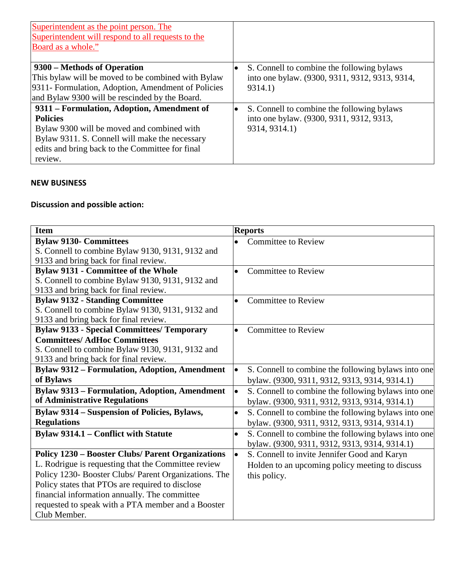| Superintendent as the point person. The<br>Superintendent will respond to all requests to the<br>Board as a whole." |                                                |
|---------------------------------------------------------------------------------------------------------------------|------------------------------------------------|
| 9300 – Methods of Operation                                                                                         | S. Connell to combine the following bylaws     |
| This bylaw will be moved to be combined with Bylaw                                                                  | into one bylaw. (9300, 9311, 9312, 9313, 9314, |
| 9311- Formulation, Adoption, Amendment of Policies                                                                  | 9314.1)                                        |
| and Bylaw 9300 will be rescinded by the Board.                                                                      |                                                |
| 9311 - Formulation, Adoption, Amendment of                                                                          | S. Connell to combine the following bylaws     |
| <b>Policies</b>                                                                                                     | into one bylaw. (9300, 9311, 9312, 9313,       |
| Bylaw 9300 will be moved and combined with                                                                          | 9314, 9314.1)                                  |
| Bylaw 9311. S. Connell will make the necessary                                                                      |                                                |
| edits and bring back to the Committee for final                                                                     |                                                |
| review.                                                                                                             |                                                |

## **NEW BUSINESS**

## **Discussion and possible action:**

| <b>Item</b>                                              | <b>Reports</b>                                                   |
|----------------------------------------------------------|------------------------------------------------------------------|
| <b>Bylaw 9130- Committees</b>                            | <b>Committee to Review</b>                                       |
| S. Connell to combine Bylaw 9130, 9131, 9132 and         |                                                                  |
| 9133 and bring back for final review.                    |                                                                  |
| <b>Bylaw 9131 - Committee of the Whole</b>               | <b>Committee to Review</b><br>$\bullet$                          |
| S. Connell to combine Bylaw 9130, 9131, 9132 and         |                                                                  |
| 9133 and bring back for final review.                    |                                                                  |
| <b>Bylaw 9132 - Standing Committee</b>                   | <b>Committee to Review</b><br>$\bullet$                          |
| S. Connell to combine Bylaw 9130, 9131, 9132 and         |                                                                  |
| 9133 and bring back for final review.                    |                                                                  |
| <b>Bylaw 9133 - Special Committees/ Temporary</b>        | <b>Committee to Review</b><br>$\bullet$                          |
| <b>Committees/AdHoc Committees</b>                       |                                                                  |
| S. Connell to combine Bylaw 9130, 9131, 9132 and         |                                                                  |
| 9133 and bring back for final review.                    |                                                                  |
| <b>Bylaw 9312 - Formulation, Adoption, Amendment</b>     | S. Connell to combine the following bylaws into one<br>$\bullet$ |
| of Bylaws                                                | bylaw. (9300, 9311, 9312, 9313, 9314, 9314.1)                    |
| <b>Bylaw 9313 - Formulation, Adoption, Amendment</b>     | S. Connell to combine the following bylaws into one<br>$\bullet$ |
| of Administrative Regulations                            | bylaw. (9300, 9311, 9312, 9313, 9314, 9314.1)                    |
| <b>Bylaw 9314 – Suspension of Policies, Bylaws,</b>      | S. Connell to combine the following bylaws into one<br>$\bullet$ |
| <b>Regulations</b>                                       | bylaw. (9300, 9311, 9312, 9313, 9314, 9314.1)                    |
| Bylaw 9314.1 – Conflict with Statute                     | S. Connell to combine the following bylaws into one<br>$\bullet$ |
|                                                          | bylaw. (9300, 9311, 9312, 9313, 9314, 9314.1)                    |
| <b>Policy 1230 - Booster Clubs/ Parent Organizations</b> | S. Connell to invite Jennifer Good and Karyn<br>$\bullet$        |
| L. Rodrigue is requesting that the Committee review      | Holden to an upcoming policy meeting to discuss                  |
| Policy 1230- Booster Clubs/ Parent Organizations. The    | this policy.                                                     |
| Policy states that PTOs are required to disclose         |                                                                  |
| financial information annually. The committee            |                                                                  |
| requested to speak with a PTA member and a Booster       |                                                                  |
| Club Member.                                             |                                                                  |